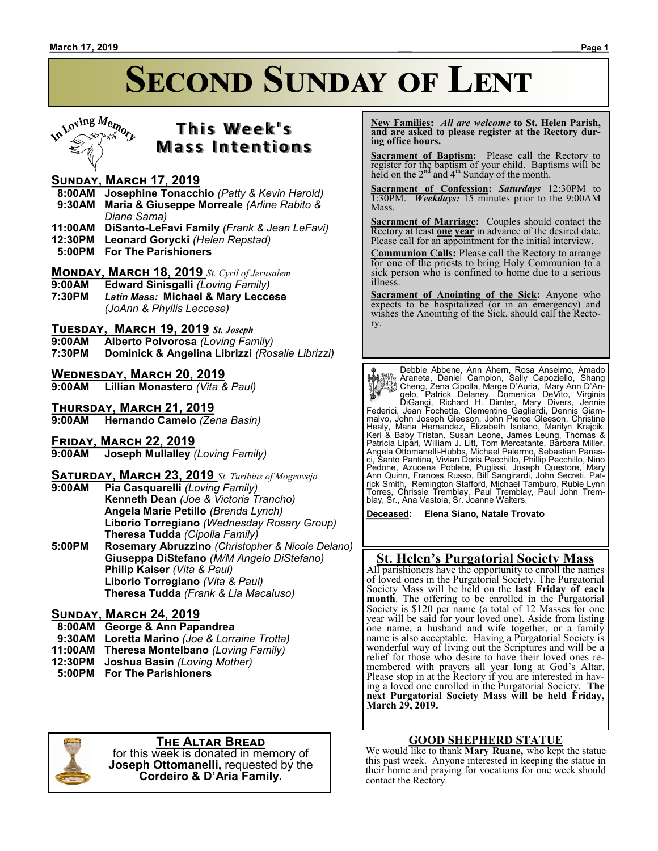# **SECOND SUNDAY OF LENT**



### **T h i s We e k ' s Mass Intentions**

#### **Sunday, March 17, 2019**

- **8:00AM Josephine Tonacchio** *(Patty & Kevin Harold)*  **9:30AM Maria & Giuseppe Morreale** *(Arline Rabito & Diane Sama)*
- **11:00AM DiSanto-LeFavi Family** *(Frank & Jean LeFavi)*
- **12:30PM Leonard Gorycki** *(Helen Repstad)*
- **5:00PM For The Parishioners**

### **Monday, March 18, 2019** *St. Cyril of Jerusalem*

- **Edward Sinisgalli** *(Loving Family)*
- **7:30PM** *Latin Mass:* **Michael & Mary Leccese** *(JoAnn & Phyllis Leccese)*

#### **Tuesday, March 19, 2019** *St. Joseph*

- **9:00AM Alberto Polvorosa** *(Loving Family)*
- **7:30PM Dominick & Angelina Librizzi** *(Rosalie Librizzi)*

#### **Wednesday, March 20, 2019**

**9:00AM Lillian Monastero** *(Vita & Paul)*

**Thursday, March 21, 2019 9:00AM Hernando Camelo** *(Zena Basin)*

**FRIDAY, MARCH 22, 2019**<br>9:00AM Joseph Mullalley **9:00AM Joseph Mullalley** *(Loving Family)*

#### **Saturday, March 23, 2019** *St. Turibius of Mogrovejo* **9:00AM Pia Casquarelli** *(Loving Family)* **Kenneth Dean** *(Joe & Victoria Trancho)* **Angela Marie Petillo** *(Brenda Lynch)* **Liborio Torregiano** *(Wednesday Rosary Group)* **Theresa Tudda** *(Cipolla Family)* **5:00PM Rosemary Abruzzino** *(Christopher & Nicole Delano)* **Giuseppa DiStefano** *(M/M Angelo DiStefano)* **Philip Kaiser** *(Vita & Paul)* **Liborio Torregiano** *(Vita & Paul)*

**Theresa Tudda** *(Frank & Lia Macaluso)*

#### **Sunday, March 24, 2019**

- **8:00AM George & Ann Papandrea**
- **9:30AM Loretta Marino** *(Joe & Lorraine Trotta)*
- **11:00AM Theresa Montelbano** *(Loving Family)*
- **12:30PM Joshua Basin** *(Loving Mother)*
- **5:00PM For The Parishioners**



#### **The Altar Bread**

for this week is donated in memory of **Joseph Ottomanelli,** requested by the **Cordeiro & D'Aria Family.**

 **New Families:** *All are welcome* **to St. Helen Parish, and are asked to please register at the Rectory during office hours.**

**Sacrament of Baptism:** Please call the Rectory to register for the baptism of your child. Baptisms will be held on the  $2<sup>nd</sup>$  and  $4<sup>th</sup>$  Sunday of the month.

**Sacrament of Confession:** *Saturdays* 12:30PM to 1:30PM. *Weekdays:* 15 minutes prior to the 9:00AM Mass.

**Sacrament of Marriage:**Couples should contact the Rectory at least **one year** in advance of the desired date. Please call for an appointment for the initial interview.

**Communion Calls:** Please call the Rectory to arrange for one of the priests to bring Holy Communion to a sick person who is confined to home due to a serious illness.

**Sacrament of Anointing of the Sick:** Anyone who expects to be hospitalized (or in an emergency) and wishes the Anointing of the Sick, should call the Rectory.

Person Debbie Abbene, Ann Ahern, Rosa Anselmo, Amado<br>Araneta, Daniel Campion, Sally Capoziello, Shang<br>Cheng, Zena Cipolla, Marge D'Auria, Mary Ann D'Angelo, Patrick Delaney, Domenica DeVito, Virginia<br>DiGangi, Richard H. Di Healy, Maria Hernandez, Elizabeth Isolano, Marilyn Krajcik,<br>Keri & Baby Tristan, Susan Leone, James Leung, Thomas &<br>Patricia Lipari,William J. Litt, Tom Mercatante, Barbara Miller,<br>Angela Ottomanelli-Hubbs, Michael Palermo ci, Šanto Pantina, Vivian Doris Pecchillo, Phillip Pecchillo, Nino<br>Pedone, Azucena Poblete, Puglissi, Joseph Questore, Mary<br>Ann Quinn, Frances Russo, Bill Sangirardi, John Secreti, Pat-<br>rick Smith, Remington Stafford, Mich

**Deceased: Elena Siano, Natale Trovato**

#### **St. Helen's Purgatorial Society Mass**

All parishioners have the opportunity to enroll the names of loved ones in the Purgatorial Society. The Purgatorial Society Mass will be held on the **last Friday of each month**. The offering to be enrolled in the Purgatorial Society is \$120 per name (a total of 12 Masses for one year will be said for your loved one). Aside from listing one name, a husband and wife together, or a family name is also acceptable. Having a Purgatorial Society is wonderful way of living out the Scriptures and will be a relief for those who desire to have their loved ones remembered with prayers all year long at God's Altar. Please stop in at the Rectory if you are interested in having a loved one enrolled in the Purgatorial Society. **The next Purgatorial Society Mass will be held Friday, March 29, 2019.**

#### **GOOD SHEPHERD STATUE**

We would like to thank **Mary Ruane,** who kept the statue this past week. Anyone interested in keeping the statue in their home and praying for vocations for one week should contact the Rectory.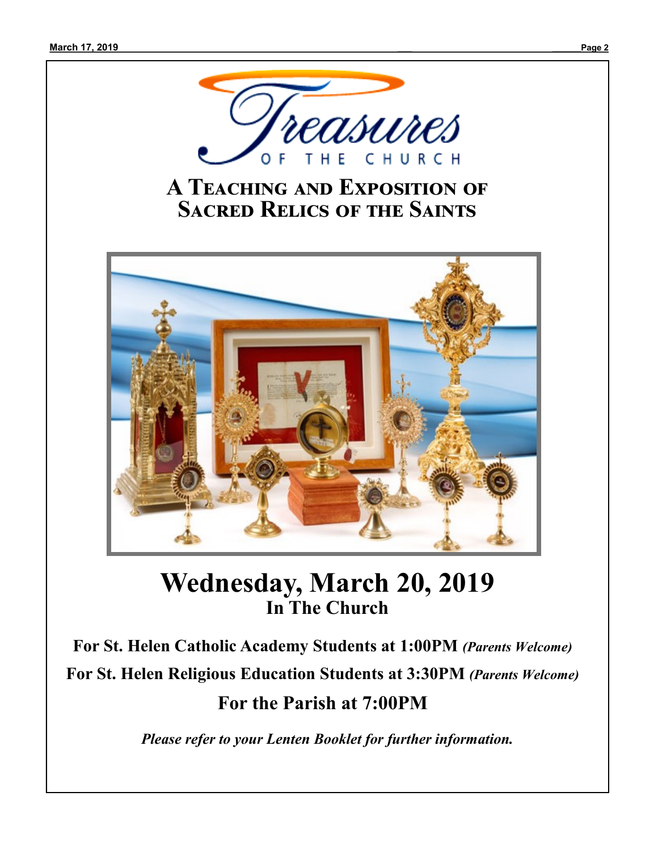

### **A Teaching and Exposition of Sacred Relics of the Saints**



## **Wednesday, March 20, 2019 In The Church**

**For St. Helen Catholic Academy Students at 1:00PM** *(Parents Welcome)* **For St. Helen Religious Education Students at 3:30PM** *(Parents Welcome)* **For the Parish at 7:00PM**

*Please refer to your Lenten Booklet for further information.*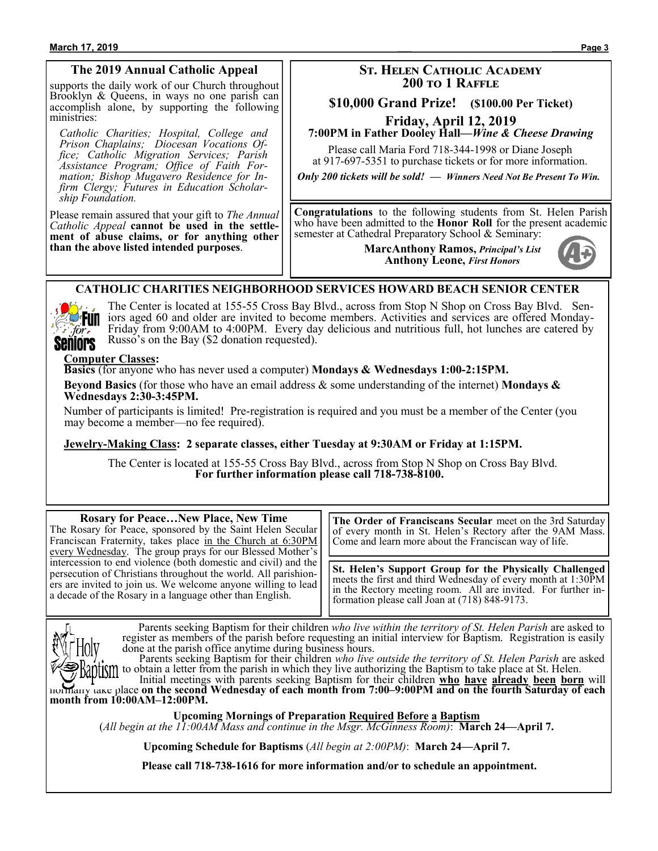#### **March 17, 2019 \_\_\_ \_\_\_\_\_\_Page 3**

#### **The 2019 Annual Catholic Appeal**

supports the daily work of our Church throughout Brooklyn & Queens, in ways no one parish can accomplish alone, by supporting the following ministries:

*Catholic Charities; Hospital, College and Prison Chaplains; Diocesan Vocations Office; Catholic Migration Services; Parish Assistance Program; Office of Faith Formation; Bishop Mugavero Residence for Infirm Clergy; Futures in Education Scholarship Foundation.*

Please remain assured that your gift to *The Annual Catholic Appeal* **cannot be used in the settlement of abuse claims, or for anything other than the above listed intended purposes**.

#### **St. Helen Catholic Academy 200 to 1 Raffle**

#### **\$10,000 Grand Prize! (\$100.00 Per Ticket)**

**Friday, April 12, 2019**

#### **7:00PM in Father Dooley Hall—***Wine & Cheese Drawing*

Please call Maria Ford 718-344-1998 or Diane Joseph at 917-697-5351 to purchase tickets or for more information.

*Only 200 tickets will be sold! — Winners Need Not Be Present To Win.*

**Congratulations** to the following students from St. Helen Parish who have been admitted to the **Honor Roll** for the present academic semester at Cathedral Preparatory School & Seminary:

> **MarcAnthony Ramos,** *Principal's List* **Anthony Leone,** *First Honors*



#### **CATHOLIC CHARITIES NEIGHBORHOOD SERVICES HOWARD BEACH SENIOR CENTER**



The Center is located at 155-55 Cross Bay Blvd., across from Stop N Shop on Cross Bay Blvd. Seniors aged 60 and older are invited to become members. Activities and services are offered Monday-Friday from 9:00AM to 4:00PM. Every day delicious and nutritious full, hot lunches are catered by Russo's on the Bay (\$2 donation requested).

#### **Computer Classes:**

**Basics** (for anyone who has never used a computer) **Mondays & Wednesdays 1:00-2:15PM.**

**Beyond Basics** (for those who have an email address & some understanding of the internet) **Mondays & Wednesdays 2:30-3:45PM.**

Number of participants is limited! Pre-registration is required and you must be a member of the Center (you may become a member—no fee required).

**Jewelry-Making Class: 2 separate classes, either Tuesday at 9:30AM or Friday at 1:15PM.**

The Center is located at 155-55 Cross Bay Blvd., across from Stop N Shop on Cross Bay Blvd. **For further information please call 718-738-8100.**

| <b>Rosary for PeaceNew Place, New Time</b><br>The Rosary for Peace, sponsored by the Saint Helen Secular<br>Franciscan Fraternity, takes place in the Church at 6:30PM<br>every Wednesday. The group prays for our Blessed Mother's                           | The Order of Franciscans Secular meet on the 3rd Saturday<br>of every month in St. Helen's Rectory after the 9AM Mass.<br>Come and learn more about the Franciscan way of life.                                                                  |
|---------------------------------------------------------------------------------------------------------------------------------------------------------------------------------------------------------------------------------------------------------------|--------------------------------------------------------------------------------------------------------------------------------------------------------------------------------------------------------------------------------------------------|
| intercession to end violence (both domestic and civil) and the<br>persecution of Christians throughout the world. All parishion-<br>ers are invited to join us. We welcome anyone willing to lead<br>a decade of the Rosary in a language other than English. | <b>St. Helen's Support Group for the Physically Challenged</b><br>meets the first and third Wednesday of every month at 1:30PM<br>in the Rectory meeting room. All are invited. For further in-<br>formation please call Joan at (718) 848-9173. |

 Parents seeking Baptism for their children *who live within the territory of St. Helen Parish* are asked to register as members of the parish before requesting an initial interview for Baptism. Registration is easily done at the parish office anytime during business hours.

 Parents seeking Baptism for their children *who live outside the territory of St. Helen Parish* are asked antly to obtain a letter from the parish in which they live authorizing the Baptism to take place at St. Helen.

 Initial meetings with parents seeking Baptism for their children **who have already been born** will normally take place **on the second Wednesday of each month from 7:00–9:00PM and on the fourth Saturday of each month from 10:00AM–12:00PM.**

**Upcoming Mornings of Preparation Required Before a Baptism** (*All begin at the 11:00AM Mass and continue in the Msgr. McGinness Room)*: **March 24—April 7.**

**Upcoming Schedule for Baptisms** (*All begin at 2:00PM)*: **March 24—April 7.**

**Please call 718-738-1616 for more information and/or to schedule an appointment.**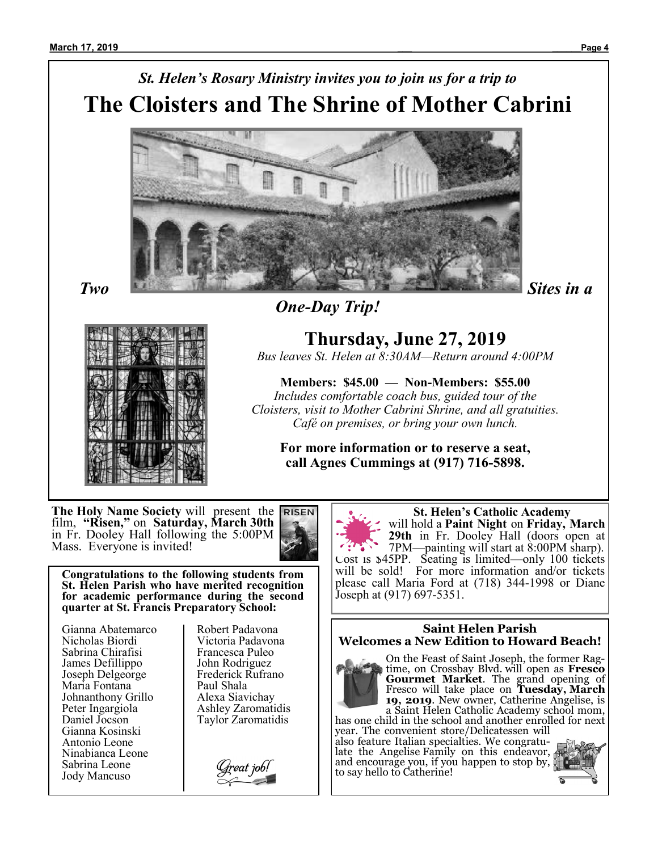# *St. Helen's Rosary Ministry invites you to join us for a trip to* **The Cloisters and The Shrine of Mother Cabrini**



*One-Day Trip!*

**Thursday, June 27, 2019**

*Bus leaves St. Helen at 8:30AM—Return around 4:00PM*

**Members: \$45.00 — Non-Members: \$55.00** *Includes comfortable coach bus, guided tour of the Cloisters, visit to Mother Cabrini Shrine, and all gratuities. Café on premises, or bring your own lunch.*

**For more information or to reserve a seat, call Agnes Cummings at (917) 716-5898.**

**The Holy Name Society** will present the film, **"Risen,"** on **Saturday, March 30th**  in Fr. Dooley Hall following the 5:00PM Mass. Everyone is invited!



**Congratulations to the following students from St. Helen Parish who have merited recognition for academic performance during the second quarter at St. Francis Preparatory School:**

Gianna Abatemarco Nicholas Biordi Sabrina Chirafisi James Defillippo Joseph Delgeorge Maria Fontana Johnanthony Grillo Peter Ingargiola Daniel Jocson Gianna Kosinski Antonio Leone Ninabianca Leone Sabrina Leone Jody Mancuso

Robert Padavona Victoria Padavona Francesca Puleo John Rodriguez Frederick Rufrano Paul Shala Alexa Siavichay Ashley Zaromatidis Taylor Zaromatidis

Ireat job!<br>A



 **St. Helen's Catholic Academy** will hold a **Paint Night** on **Friday, March 29th** in Fr. Dooley Hall (doors open at 7PM—painting will start at 8:00PM sharp). Cost is \$45PP. Seating is limited—only 100 tickets will be sold! For more information and/or tickets please call Maria Ford at (718) 344-1998 or Diane Joseph at (917) 697-5351.

#### **Saint Helen Parish Welcomes a New Edition to Howard Beach!**



On the Feast of Saint Joseph, the former Ragtime, on Crossbay Blvd. will open as **Fresco Gourmet Market**. The grand opening of Fresco will take place on **Tuesday, March 19, 2019**. New owner, Catherine Angelise, is a Saint Helen Catholic Academy school mom,

has one child in the school and another enrolled for next year. The convenient store/Delicatessen will

also feature Italian specialties. We congratulate the Angelise Family on this endeavor, and encourage you, if you happen to stop by,  $\zeta$ to say hello to Catherine!